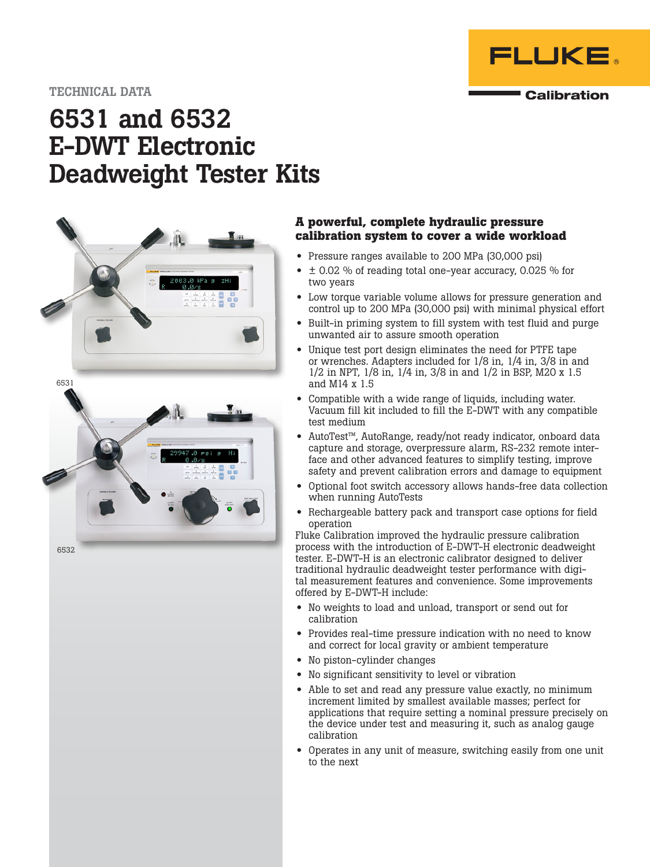

# 6531 and 6532 E-DWT Electronic Deadweight Tester Kits



## **A powerful, complete hydraulic pressure calibration system to cover a wide workload**

- Pressure ranges available to 200 MPa (30,000 psi)
- $\bullet$   $\pm$  0.02 % of reading total one-year accuracy, 0.025 % for two years
- Low torque variable volume allows for pressure generation and control up to 200 MPa (30,000 psi) with minimal physical effort
- Built-in priming system to fill system with test fluid and purge unwanted air to assure smooth operation
- Unique test port design eliminates the need for PTFE tape or wrenches. Adapters included for 1/8 in, 1/4 in, 3/8 in and 1/2 in NPT, 1/8 in, 1/4 in, 3/8 in and 1/2 in BSP, M20 x 1.5 and M14 x 1.5
- Compatible with a wide range of liquids, including water. Vacuum fill kit included to fill the E-DWT with any compatible test medium
- AutoTest™, AutoRange, ready/not ready indicator, onboard data capture and storage, overpressure alarm, RS-232 remote interface and other advanced features to simplify testing, improve safety and prevent calibration errors and damage to equipment
- Optional foot switch accessory allows hands-free data collection when running AutoTests
- Rechargeable battery pack and transport case options for field operation

Fluke Calibration improved the hydraulic pressure calibration process with the introduction of E-DWT-H electronic deadweight tester. E-DWT-H is an electronic calibrator designed to deliver traditional hydraulic deadweight tester performance with digital measurement features and convenience. Some improvements offered by E-DWT-H include:

- No weights to load and unload, transport or send out for calibration
- Provides real-time pressure indication with no need to know and correct for local gravity or ambient temperature
- No piston-cylinder changes
- No significant sensitivity to level or vibration
- Able to set and read any pressure value exactly, no minimum increment limited by smallest available masses; perfect for applications that require setting a nominal pressure precisely on the device under test and measuring it, such as analog gauge calibration
- Operates in any unit of measure, switching easily from one unit to the next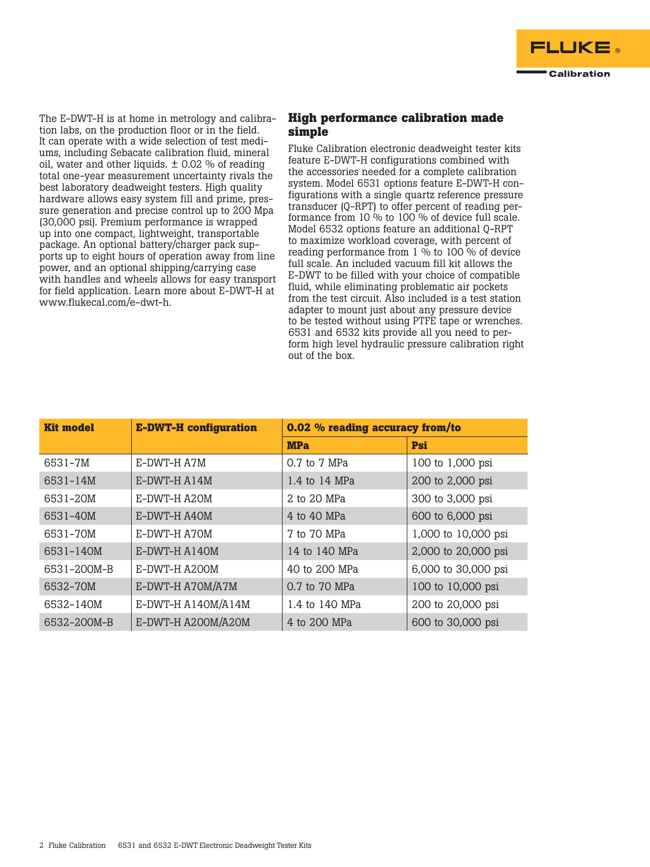

The E-DWT-H is at home in metrology and calibration labs, on the production floor or in the field. It can operate with a wide selection of test mediums, including Sebacate calibration fluid, mineral oil, water and other liquids.  $\pm$  0.02 % of reading total one-year measurement uncertainty rivals the best laboratory deadweight testers. High quality hardware allows easy system fill and prime, pressure generation and precise control up to 200 Mpa (30,000 psi). Premium performance is wrapped up into one compact, lightweight, transportable package. An optional battery/charger pack supports up to eight hours of operation away from line power, and an optional shipping/carrying case with handles and wheels allows for easy transport for field application. Learn more about E-DWT-H at [www.flukecal.com/e-dwt-h](http://www.flukecal.com/e-dwt-h).

## **High performance calibration made simple**

Fluke Calibration electronic deadweight tester kits feature E-DWT-H configurations combined with the accessories needed for a complete calibration system. Model 6531 options feature E-DWT-H configurations with a single quartz reference pressure transducer (Q-RPT) to offer percent of reading performance from 10 % to 100 % of device full scale. Model 6532 options feature an additional Q-RPT to maximize workload coverage, with percent of reading performance from  $1\%$  to 100 % of device full scale. An included vacuum fill kit allows the E-DWT to be filled with your choice of compatible fluid, while eliminating problematic air pockets from the test circuit. Also included is a test station adapter to mount just about any pressure device to be tested without using PTFE tape or wrenches. 6531 and 6532 kits provide all you need to perform high level hydraulic pressure calibration right out of the box.

| <b>Kit model</b> | <b>E-DWT-H</b> configuration | 0.02 % reading accuracy from/to |                     |  |
|------------------|------------------------------|---------------------------------|---------------------|--|
|                  |                              | <b>MPa</b>                      | Psi                 |  |
| 6531-7M          | E-DWT-H A7M                  | 0.7 to 7 MPa                    | 100 to 1,000 psi    |  |
| 6531-14M         | E-DWT-H A14M                 | 1.4 to 14 MPa                   | 200 to 2,000 psi    |  |
| 6531-20M         | E-DWT-H A20M                 | 2 to 20 MPa                     | 300 to 3,000 psi    |  |
| 6531-40M         | E-DWT-H A40M                 | 4 to 40 MPa                     | 600 to 6,000 psi    |  |
| 6531-70M         | E-DWT-H A70M                 | 7 to 70 MPa                     | 1,000 to 10,000 psi |  |
| 6531-140M        | E-DWT-H A140M                | 14 to 140 MPa                   | 2,000 to 20,000 psi |  |
| 6531-200M-B      | E-DWT-H A200M                | 40 to 200 MPa                   | 6,000 to 30,000 psi |  |
| 6532-70M         | E-DWT-H A70M/A7M             | 0.7 to 70 MPa                   | 100 to 10,000 psi   |  |
| 6532-140M        | E-DWT-H A140M/A14M           | 1.4 to 140 MPa                  | 200 to 20,000 psi   |  |
| 6532-200M-B      | E-DWT-H A200M/A20M           | 4 to 200 MPa                    | 600 to 30,000 psi   |  |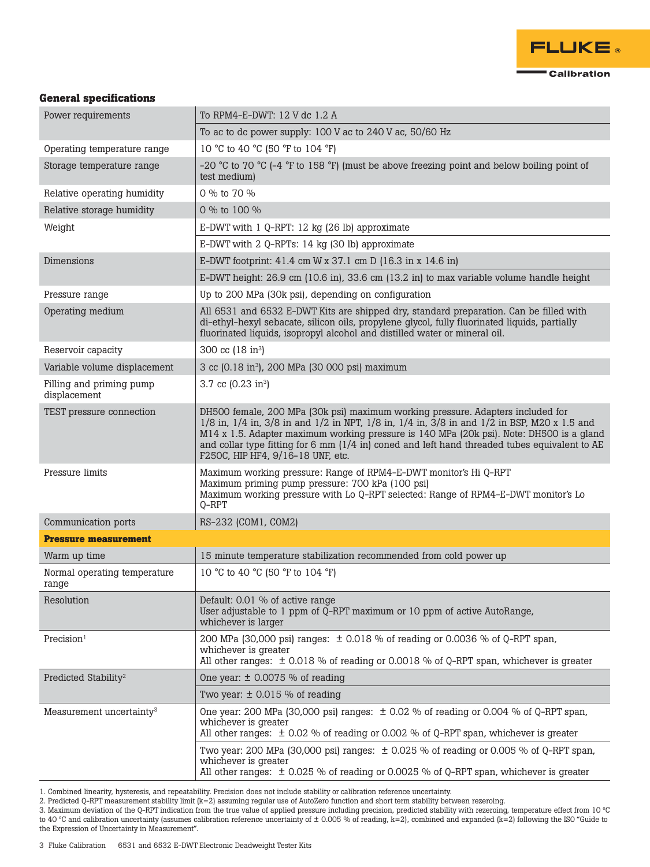

## **General specifications**

| Power requirements                       | To RPM4-E-DWT: 12 V dc 1.2 A                                                                                                                                                                                                                                                                                                                                                                                                     |  |  |  |
|------------------------------------------|----------------------------------------------------------------------------------------------------------------------------------------------------------------------------------------------------------------------------------------------------------------------------------------------------------------------------------------------------------------------------------------------------------------------------------|--|--|--|
|                                          | To ac to dc power supply: 100 V ac to 240 V ac, 50/60 Hz                                                                                                                                                                                                                                                                                                                                                                         |  |  |  |
| Operating temperature range              | 10 °C to 40 °C (50 °F to 104 °F)                                                                                                                                                                                                                                                                                                                                                                                                 |  |  |  |
| Storage temperature range                | -20 °C to 70 °C (-4 °F to 158 °F) (must be above freezing point and below boiling point of<br>test medium)                                                                                                                                                                                                                                                                                                                       |  |  |  |
| Relative operating humidity              | 0 % to 70 %                                                                                                                                                                                                                                                                                                                                                                                                                      |  |  |  |
| Relative storage humidity                | 0 % to 100 %                                                                                                                                                                                                                                                                                                                                                                                                                     |  |  |  |
| Weight                                   | E-DWT with 1 Q-RPT: 12 kg (26 lb) approximate                                                                                                                                                                                                                                                                                                                                                                                    |  |  |  |
|                                          | E-DWT with 2 Q-RPTs: 14 kg (30 lb) approximate                                                                                                                                                                                                                                                                                                                                                                                   |  |  |  |
| Dimensions                               | E-DWT footprint: 41.4 cm W x 37.1 cm D (16.3 in x 14.6 in)                                                                                                                                                                                                                                                                                                                                                                       |  |  |  |
|                                          | E-DWT height: 26.9 cm (10.6 in), 33.6 cm (13.2 in) to max variable volume handle height                                                                                                                                                                                                                                                                                                                                          |  |  |  |
| Pressure range                           | Up to 200 MPa (30k psi), depending on configuration                                                                                                                                                                                                                                                                                                                                                                              |  |  |  |
| Operating medium                         | All 6531 and 6532 E-DWT Kits are shipped dry, standard preparation. Can be filled with<br>di-ethyl-hexyl sebacate, silicon oils, propylene glycol, fully fluorinated liquids, partially<br>fluorinated liquids, isopropyl alcohol and distilled water or mineral oil.                                                                                                                                                            |  |  |  |
| Reservoir capacity                       | 300 cc (18 in <sup>3</sup> )                                                                                                                                                                                                                                                                                                                                                                                                     |  |  |  |
| Variable volume displacement             | 3 cc (0.18 in <sup>3</sup> ), 200 MPa (30 000 psi) maximum                                                                                                                                                                                                                                                                                                                                                                       |  |  |  |
| Filling and priming pump<br>displacement | 3.7 cc $(0.23 \text{ in}^3)$                                                                                                                                                                                                                                                                                                                                                                                                     |  |  |  |
| TEST pressure connection                 | DH500 female, 200 MPa (30k psi) maximum working pressure. Adapters included for<br>$1/8$ in, $1/4$ in, $3/8$ in and $1/2$ in NPT, $1/8$ in, $1/4$ in, $3/8$ in and $1/2$ in BSP, M20 x 1.5 and<br>M14 x 1.5. Adapter maximum working pressure is 140 MPa (20k psi). Note: DH500 is a gland<br>and collar type fitting for 6 mm (1/4 in) coned and left hand threaded tubes equivalent to AE<br>F250C, HIP HF4, 9/16-18 UNF, etc. |  |  |  |
| Pressure limits                          | Maximum working pressure: Range of RPM4-E-DWT monitor's Hi Q-RPT<br>Maximum priming pump pressure: 700 kPa (100 psi)<br>Maximum working pressure with Lo Q-RPT selected: Range of RPM4-E-DWT monitor's Lo<br>$Q$ -RPT                                                                                                                                                                                                            |  |  |  |
| Communication ports                      | RS-232 (COM1, COM2)                                                                                                                                                                                                                                                                                                                                                                                                              |  |  |  |
| <b>Pressure measurement</b>              |                                                                                                                                                                                                                                                                                                                                                                                                                                  |  |  |  |
| Warm up time                             | 15 minute temperature stabilization recommended from cold power up                                                                                                                                                                                                                                                                                                                                                               |  |  |  |
| Normal operating temperature<br>range    | 10 °C to 40 °C (50 °F to 104 °F)                                                                                                                                                                                                                                                                                                                                                                                                 |  |  |  |
| Resolution                               | Default: 0.01 % of active range<br>User adjustable to 1 ppm of Q-RPT maximum or 10 ppm of active AutoRange,<br>whichever is larger                                                                                                                                                                                                                                                                                               |  |  |  |
| Precision <sup>1</sup>                   | 200 MPa (30,000 psi) ranges: $\pm$ 0.018 % of reading or 0.0036 % of Q-RPT span,<br>whichever is greater<br>All other ranges: $\pm$ 0.018 % of reading or 0.0018 % of Q-RPT span, whichever is greater                                                                                                                                                                                                                           |  |  |  |
| Predicted Stability <sup>2</sup>         | One year: $\pm$ 0.0075 % of reading                                                                                                                                                                                                                                                                                                                                                                                              |  |  |  |
|                                          | Two year: $\pm$ 0.015 % of reading                                                                                                                                                                                                                                                                                                                                                                                               |  |  |  |
| Measurement uncertainty <sup>3</sup>     | One year: 200 MPa (30,000 psi) ranges: $\pm$ 0.02 % of reading or 0.004 % of Q-RPT span,<br>whichever is greater<br>All other ranges: $\pm$ 0.02 % of reading or 0.002 % of Q-RPT span, whichever is greater                                                                                                                                                                                                                     |  |  |  |
|                                          | Two year: 200 MPa (30,000 psi) ranges: $\pm$ 0.025 % of reading or 0.005 % of Q-RPT span,<br>whichever is greater<br>All other ranges: $\pm$ 0.025 % of reading or 0.0025 % of Q-RPT span, whichever is greater                                                                                                                                                                                                                  |  |  |  |

1. Combined linearity, hysteresis, and repeatability. Precision does not include stability or calibration reference uncertainty.

2. Predicted Q-RPT measurement stability limit (k=2) assuming regular use of AutoZero function and short term stability between rezeroing.

3. Maximum deviation of the Q-RPT indication from the true value of applied pressure including precision, predicted stability with rezeroing, temperature effect from 10  $^{\circ}\textrm{C}$ to 40 ºC and calibration uncertainty (assumes calibration reference uncertainty of ± 0.005 % of reading, k=2), combined and expanded (k=2) following the ISO "Guide to the Expression of Uncertainty in Measurement".